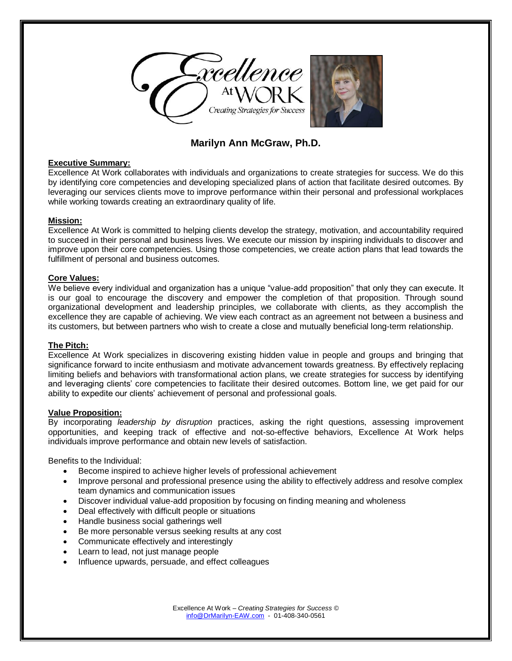

# **Marilyn Ann McGraw, Ph.D.**

### **Executive Summary:**

Excellence At Work collaborates with individuals and organizations to create strategies for success. We do this by identifying core competencies and developing specialized plans of action that facilitate desired outcomes. By leveraging our services clients move to improve performance within their personal and professional workplaces while working towards creating an extraordinary quality of life.

# **Mission:**

Excellence At Work is committed to helping clients develop the strategy, motivation, and accountability required to succeed in their personal and business lives. We execute our mission by inspiring individuals to discover and improve upon their core competencies. Using those competencies, we create action plans that lead towards the fulfillment of personal and business outcomes.

# **Core Values:**

We believe every individual and organization has a unique "value-add proposition" that only they can execute. It is our goal to encourage the discovery and empower the completion of that proposition. Through sound organizational development and leadership principles, we collaborate with clients, as they accomplish the excellence they are capable of achieving. We view each contract as an agreement not between a business and its customers, but between partners who wish to create a close and mutually beneficial long-term relationship.

#### **The Pitch:**

Excellence At Work specializes in discovering existing hidden value in people and groups and bringing that significance forward to incite enthusiasm and motivate advancement towards greatness. By effectively replacing limiting beliefs and behaviors with transformational action plans, we create strategies for success by identifying and leveraging clients' core competencies to facilitate their desired outcomes. Bottom line, we get paid for our ability to expedite our clients' achievement of personal and professional goals.

### **Value Proposition:**

By incorporating *leadership by disruption* practices, asking the right questions, assessing improvement opportunities, and keeping track of effective and not-so-effective behaviors, Excellence At Work helps individuals improve performance and obtain new levels of satisfaction.

Benefits to the Individual:

- Become inspired to achieve higher levels of professional achievement
- Improve personal and professional presence using the ability to effectively address and resolve complex team dynamics and communication issues
- Discover individual value-add proposition by focusing on finding meaning and wholeness
- Deal effectively with difficult people or situations
- Handle business social gatherings well
- Be more personable versus seeking results at any cost
- Communicate effectively and interestingly
- Learn to lead, not just manage people
- Influence upwards, persuade, and effect colleagues

Excellence At Work – *Creating Strategies for Success* © [info@DrMarilyn-EAW.com](mailto:info@DrMarilyn-EAW.com) - 01-408-340-0561